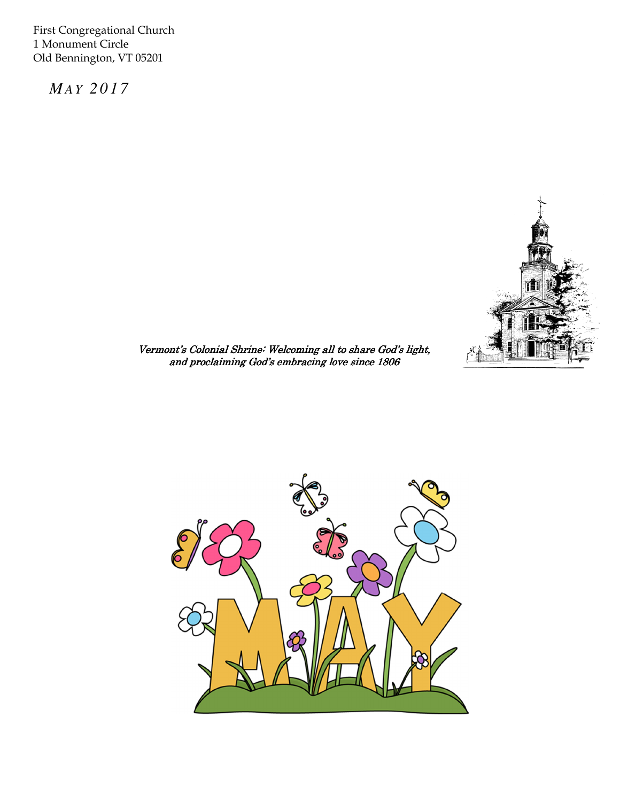First Congregational Church 1 Monument Circle Old Bennington, VT 05201

 *MA Y 2 0 1 7* 



 $\overline{a}$ Vermont's Colonial Shrine: Welcoming all to share God's light, and proclaiming God's embracing love since 1806

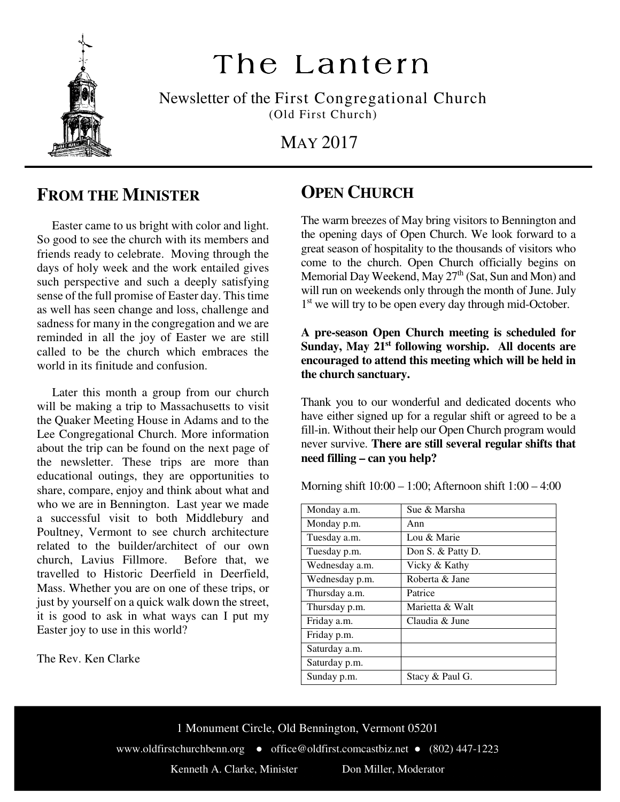

# The Lantern

Newsletter of the First Congregational Church (Old First Church)

MAY 2017

#### **FROM THE MINISTER**

 Easter came to us bright with color and light. So good to see the church with its members and friends ready to celebrate. Moving through the days of holy week and the work entailed gives such perspective and such a deeply satisfying sense of the full promise of Easter day. This time as well has seen change and loss, challenge and sadness for many in the congregation and we are reminded in all the joy of Easter we are still called to be the church which embraces the world in its finitude and confusion.

 Later this month a group from our church will be making a trip to Massachusetts to visit the Quaker Meeting House in Adams and to the Lee Congregational Church. More information about the trip can be found on the next page of the newsletter. These trips are more than educational outings, they are opportunities to share, compare, enjoy and think about what and who we are in Bennington. Last year we made a successful visit to both Middlebury and Poultney, Vermont to see church architecture related to the builder/architect of our own church, Lavius Fillmore. Before that, we travelled to Historic Deerfield in Deerfield, Mass. Whether you are on one of these trips, or just by yourself on a quick walk down the street, it is good to ask in what ways can I put my Easter joy to use in this world?

The Rev. Ken Clarke

### **OPEN CHURCH**

The warm breezes of May bring visitors to Bennington and the opening days of Open Church. We look forward to a great season of hospitality to the thousands of visitors who come to the church. Open Church officially begins on Memorial Day Weekend, May 27<sup>th</sup> (Sat, Sun and Mon) and will run on weekends only through the month of June. July 1<sup>st</sup> we will try to be open every day through mid-October.

**A pre-season Open Church meeting is scheduled for Sunday, May 21st following worship. All docents are encouraged to attend this meeting which will be held in the church sanctuary.** 

Thank you to our wonderful and dedicated docents who have either signed up for a regular shift or agreed to be a fill-in. Without their help our Open Church program would never survive. **There are still several regular shifts that need filling – can you help?**

Morning shift 10:00 – 1:00; Afternoon shift 1:00 – 4:00

| Monday a.m.    | Sue & Marsha      |
|----------------|-------------------|
| Monday p.m.    | Ann               |
| Tuesday a.m.   | Lou & Marie       |
| Tuesday p.m.   | Don S. & Patty D. |
| Wednesday a.m. | Vicky & Kathy     |
| Wednesday p.m. | Roberta & Jane    |
| Thursday a.m.  | Patrice           |
| Thursday p.m.  | Marietta & Walt   |
| Friday a.m.    | Claudia & June    |
| Friday p.m.    |                   |
| Saturday a.m.  |                   |
| Saturday p.m.  |                   |
| Sunday p.m.    | Stacy & Paul G.   |

1 Monument Circle, Old Bennington, Vermont 05201 www.oldfirstchurchbenn.org ● office@oldfirst.comcastbiz.net ● (802) 447-1223 Kenneth A. Clarke, Minister Don Miller, Moderator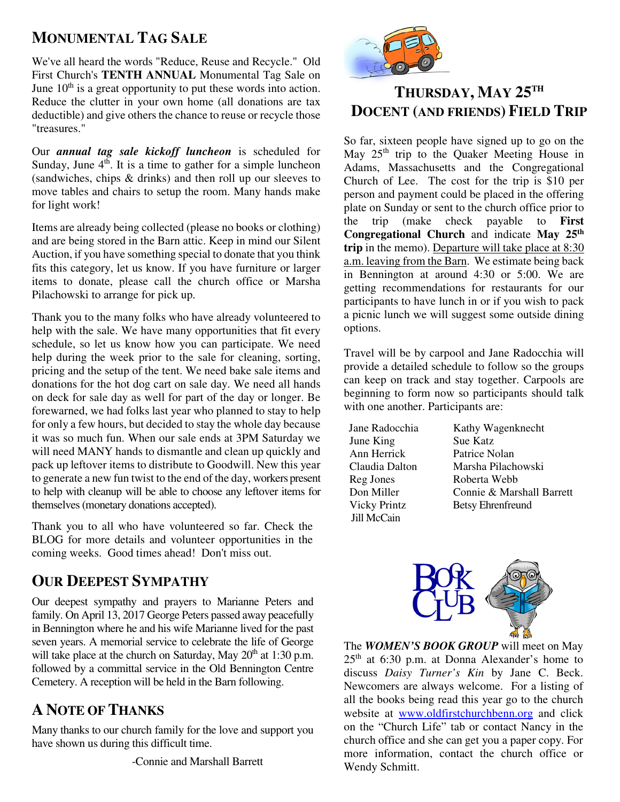#### **MONUMENTAL TAG SALE**

June  $10^{th}$  is a great opportunity to put these words into action.<br>Beduce the clutter in your own home (ell denotions are tax We've all heard the words "Reduce, Reuse and Recycle." Old First Church's **TENTH ANNUAL** Monumental Tag Sale on Reduce the clutter in your own home (all donations are tax deductible) and give others the chance to reuse or recycle those "treasures."

Our *annual tag sale kickoff luncheon* is scheduled for Sunday, June  $4<sup>th</sup>$ . It is a time to gather for a simple luncheon (sandwiches, chips & drinks) and then roll up our sleeves to move tables and chairs to setup the room. Many hands make for light work!

Items are already being collected (please no books or clothing) and are being stored in the Barn attic. Keep in mind our Silent Auction, if you have something special to donate that you think fits this category, let us know. If you have furniture or larger items to donate, please call the church office or Marsha Pilachowski to arrange for pick up.

Thank you to the many folks who have already volunteered to help with the sale. We have many opportunities that fit every schedule, so let us know how you can participate. We need help during the week prior to the sale for cleaning, sorting, pricing and the setup of the tent. We need bake sale items and donations for the hot dog cart on sale day. We need all hands on deck for sale day as well for part of the day or longer. Be forewarned, we had folks last year who planned to stay to help for only a few hours, but decided to stay the whole day because it was so much fun. When our sale ends at 3PM Saturday we will need MANY hands to dismantle and clean up quickly and pack up leftover items to distribute to Goodwill. New this year to generate a new fun twist to the end of the day, workers present to help with cleanup will be able to choose any leftover items for themselves (monetary donations accepted).

Thank you to all who have volunteered so far. Check the BLOG for more details and volunteer opportunities in the coming weeks. Good times ahead! Don't miss out.

#### **OUR DEEPEST SYMPATHY**

Our deepest sympathy and prayers to Marianne Peters and family. On April 13, 2017 George Peters passed away peacefully in Bennington where he and his wife Marianne lived for the past seven years. A memorial service to celebrate the life of George will take place at the church on Saturday, May  $20<sup>th</sup>$  at 1:30 p.m. followed by a committal service in the Old Bennington Centre Cemetery. A reception will be held in the Barn following.

#### **A NOTE OF THANKS**

Many thanks to our church family for the love and support you have shown us during this difficult time.



## **THURSDAY, MAY 25TH DOCENT (AND FRIENDS) FIELD TRIP**

So far, sixteen people have signed up to go on the May  $25<sup>th</sup>$  trip to the Quaker Meeting House in Adams, Massachusetts and the Congregational Church of Lee. The cost for the trip is \$10 per person and payment could be placed in the offering plate on Sunday or sent to the church office prior to the trip (make check payable to **First Congregational Church** and indicate **May 25th trip** in the memo). Departure will take place at 8:30 a.m. leaving from the Barn. We estimate being back in Bennington at around 4:30 or 5:00. We are getting recommendations for restaurants for our participants to have lunch in or if you wish to pack a picnic lunch we will suggest some outside dining options.

Travel will be by carpool and Jane Radocchia will provide a detailed schedule to follow so the groups can keep on track and stay together. Carpools are beginning to form now so participants should talk with one another. Participants are:

June King Sue Katz Ann Herrick Patrice Nolan Reg Jones Roberta Webb Jill McCain

Jane Radocchia Kathy Wagenknecht Claudia Dalton Marsha Pilachowski Don Miller Connie & Marshall Barrett Vicky PrintzBetsy Ehrenfreund



The *WOMEN'S BOOK GROUP* will meet on May  $25<sup>th</sup>$  at 6:30 p.m. at Donna Alexander's home to discuss *Daisy Turner's Kin* by Jane C. Beck. Newcomers are always welcome. For a listing of all the books being read this year go to the church website at www.oldfirstchurchbenn.org and click on the "Church Life" tab or contact Nancy in the church office and she can get you a paper copy. For more information, contact the church office or Wendy Schmitt.